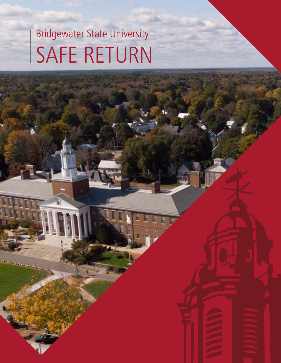# Bridgewater State University SAFE RETURN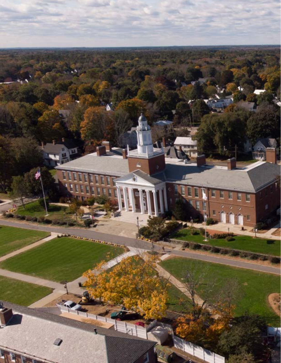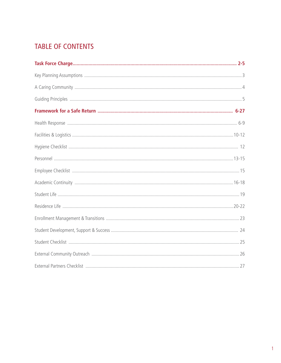### **TABLE OF CONTENTS**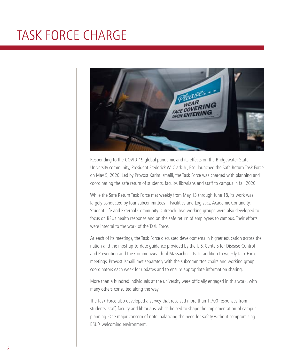<span id="page-3-0"></span>

Responding to the COVID-19 global pandemic and its effects on the Bridgewater State University community, President Frederick W. Clark Jr., Esq. launched the Safe Return Task Force on May 5, 2020. Led by Provost Karim Ismaili, the Task Force was charged with planning and coordinating the safe return of students, faculty, librarians and staff to campus in fall 2020.

While the Safe Return Task Force met weekly from May 13 through June 18, its work was largely conducted by four subcommittees – Facilities and Logistics, Academic Continuity, Student Life and External Community Outreach. Two working groups were also developed to focus on BSUs health response and on the safe return of employees to campus. Their efforts were integral to the work of the Task Force.

At each of its meetings, the Task Force discussed developments in higher education across the nation and the most up-to-date guidance provided by the U.S. Centers for Disease Control and Prevention and the Commonwealth of Massachusetts. In addition to weekly Task Force meetings, Provost Ismaili met separately with the subcommittee chairs and working group coordinators each week for updates and to ensure appropriate information sharing.

More than a hundred individuals at the university were officially engaged in this work, with many others consulted along the way.

The Task Force also developed a survey that received more than 1,700 responses from students, staff, faculty and librarians, which helped to shape the implementation of campus planning. One major concern of note: balancing the need for safety without compromising BSU's welcoming environment.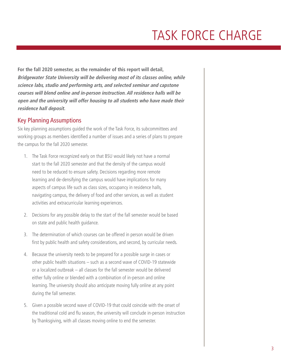<span id="page-4-0"></span>**For the fall 2020 semester, as the remainder of this report will detail, Bridgewater State University will be delivering most of its classes online, while science labs, studio and performing arts, and selected seminar and capstone courses will blend online and in-person instruction. All residence halls will be open and the university will offer housing to all students who have made their residence hall deposit.** 

#### Key Planning Assumptions

Six key planning assumptions guided the work of the Task Force, its subcommittees and working groups as members identified a number of issues and a series of plans to prepare the campus for the fall 2020 semester.

- 1. The Task Force recognized early on that BSU would likely not have a normal start to the fall 2020 semester and that the density of the campus would need to be reduced to ensure safety. Decisions regarding more remote learning and de-densifying the campus would have implications for many aspects of campus life such as class sizes, occupancy in residence halls, navigating campus, the delivery of food and other services, as well as student activities and extracurricular learning experiences.
- 2. Decisions for any possible delay to the start of the fall semester would be based on state and public health guidance.
- 3. The determination of which courses can be offered in person would be driven first by public health and safety considerations, and second, by curricular needs.
- 4. Because the university needs to be prepared for a possible surge in cases or other public health situations – such as a second wave of COVID-19 statewide or a localized outbreak – all classes for the fall semester would be delivered either fully online or blended with a combination of in-person and online learning. The university should also anticipate moving fully online at any point during the fall semester.
- 5. Given a possible second wave of COVID-19 that could coincide with the onset of the traditional cold and flu season, the university will conclude in-person instruction by Thanksgiving, with all classes moving online to end the semester.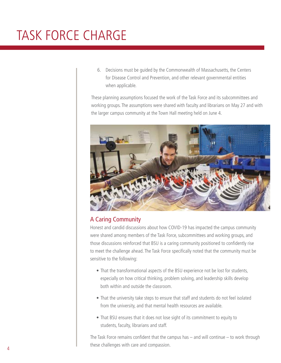<span id="page-5-0"></span>6. Decisions must be guided by the Commonwealth of Massachusetts, the Centers for Disease Control and Prevention, and other relevant governmental entities when applicable.

These planning assumptions focused the work of the Task Force and its subcommittees and working groups. The assumptions were shared with faculty and librarians on May 27 and with the larger campus community at the Town Hall meeting held on June 4.



#### A Caring Community

Honest and candid discussions about how COVID-19 has impacted the campus community were shared among members of the Task Force, subcommittees and working groups, and those discussions reinforced that BSU is a caring community positioned to confidently rise to meet the challenge ahead. The Task Force specifically noted that the community must be sensitive to the following:

- That the transformational aspects of the BSU experience not be lost for students, especially on how critical thinking, problem solving, and leadership skills develop both within and outside the classroom.
- That the university take steps to ensure that staff and students do not feel isolated from the university, and that mental health resources are available.
- That BSU ensures that it does not lose sight of its commitment to equity to students, faculty, librarians and staff.

The Task Force remains confident that the campus has – and will continue – to work through these challenges with care and compassion.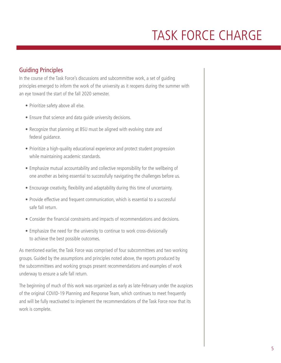### <span id="page-6-0"></span>Guiding Principles

In the course of the Task Force's discussions and subcommittee work, a set of guiding principles emerged to inform the work of the university as it reopens during the summer with an eye toward the start of the fall 2020 semester.

- Prioritize safety above all else.
- Ensure that science and data guide university decisions.
- Recognize that planning at BSU must be aligned with evolving state and federal guidance.
- Prioritize a high-quality educational experience and protect student progression while maintaining academic standards.
- Emphasize mutual accountability and collective responsibility for the wellbeing of one another as being essential to successfully navigating the challenges before us.
- Encourage creativity, flexibility and adaptability during this time of uncertainty.
- Provide effective and frequent communication, which is essential to a successful safe fall return.
- Consider the financial constraints and impacts of recommendations and decisions.
- Emphasize the need for the university to continue to work cross-divisionally to achieve the best possible outcomes.

As mentioned earlier, the Task Force was comprised of four subcommittees and two working groups. Guided by the assumptions and principles noted above, the reports produced by the subcommittees and working groups present recommendations and examples of work underway to ensure a safe fall return.

The beginning of much of this work was organized as early as late-February under the auspices of the original COVID-19 Planning and Response Team, which continues to meet frequently and will be fully reactivated to implement the recommendations of the Task Force now that its work is complete.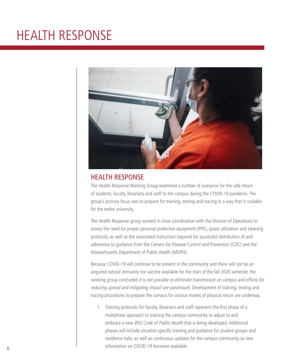<span id="page-7-0"></span>

### HEALTH RESPONSE

The Health Response Working Group examined a number of scenarios for the safe return of students, faculty, librarians and staff to the campus during the COVID-19 pandemic. The group's primary focus was to prepare for training, testing and tracing in a way that is scalable for the entire university.

The Health Response group worked in close coordination with the Division of Operations to assess the need for proper personal protective equipment (PPE), space utilization and cleaning protocols, as well as the associated instruction required for successful distribution of and adherence to guidance from the Centers for Disease Control and Prevention (CDC) and the Massachusetts Department of Public Health (MDPH).

Because COVID-19 will continue to be present in the community and there will not be an acquired natural immunity nor vaccine available for the start of the fall 2020 semester, the working group concluded it is not possible to eliminate transmission on campus and efforts for reducing spread and mitigating impact are paramount. Development of training, testing and tracing procedures to prepare the campus for various modes of physical return are underway.

1. Training protocols for faculty, librarians and staff represent the first phase of a multiphase approach to training the campus community to adjust to and embrace a new *BSU Code of Public Health* that is being developed. Additional phases will include situation specific training and guidance for student groups and residence halls, as well as continuous updates for the campus community as new information on COVID-19 becomes available.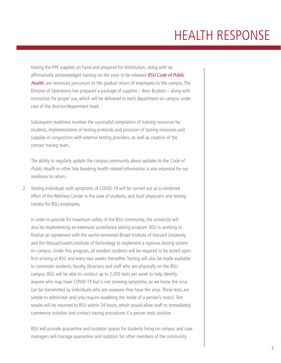Having the PPE supplies on hand and prepared for distribution, along with an affirmatively acknowledged training on the soon to be released **BSU Code of Public** Health, are necessary precursors to the gradual return of employees to the campus. The Division of Operations has prepared a package of supplies – Bear Buckets – along with instruction for proper use, which will be delivered to each department on campus under care of the director/department head.

Subsequent readiness involves the successful compilation of training resources for students, implementation of testing protocols and provision of testing resources and supplies in conjunction with external testing providers, as well as creation of the contact tracing team.

The ability to regularly update the campus community about updates to the *Code of* Public Health or other late breaking health related information is also essential for our readiness to return.

2. Testing individuals with symptoms of COVID-19 will be carried out as a combined effort of the Wellness Center in the case of students, and local physicians and testing centers for BSU employees.

In order to provide for maximum safety of the BSU community, the university will also be implementing an extensive surveillance testing program. BSU is working to finalize an agreement with the world-renowned Broad Institute of Harvard University and the Massachusetts Institute of Technology to implement a rigorous testing system on campus. Under this program, all resident students will be required to be tested upon first arriving at BSU and every two weeks thereafter. Testing will also be made available to commuter students, faculty, librarians and staff who are physically on the BSU campus. BSU will be able to conduct up to 2,000 tests per week to help identify anyone who may have COVID-19 but is not showing symptoms, as we know the virus can be transmitted by individuals who are unaware they have the virus. These tests are simple to administer and only require swabbing the inside of a person's nostril. Test results will be returned to BSU within 24 hours, which would allow staff to immediately commence isolation and contact tracing procedures if a person tests positive.

BSU will provide quarantine and isolation spaces for students living on campus and case managers will manage quarantine and isolation for other members of the community.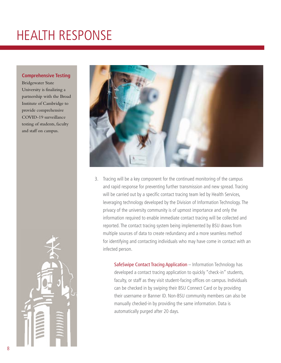#### **Comprehensive Testing**

Bridgewater State University is finalizing a partnership with the Broad Institute of Cambridge to provide comprehensive COVID-19 surveillance testing of students, faculty and staff on campus.





3. Tracing will be a key component for the continued monitoring of the campus and rapid response for preventing further transmission and new spread. Tracing will be carried out by a specific contact tracing team led by Health Services, leveraging technology developed by the Division of Information Technology. The privacy of the university community is of upmost importance and only the information required to enable immediate contact tracing will be collected and reported. The contact tracing system being implemented by BSU draws from multiple sources of data to create redundancy and a more seamless method for identifying and contacting individuals who may have come in contact with an infected person.

> SafeSwipe Contact Tracing Application - Information Technology has developed a contact tracing application to quickly "check-in" students, faculty, or staff as they visit student-facing offices on campus. Individuals can be checked in by swiping their BSU Connect Card or by providing their username or Banner ID. Non-BSU community members can also be manually checked-in by providing the same information. Data is automatically purged after 20 days.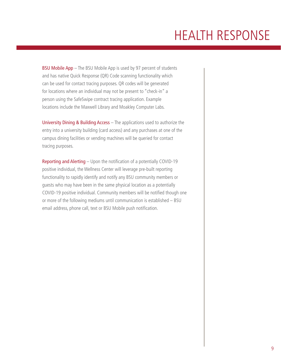BSU Mobile App – The BSU Mobile App is used by 97 percent of students and has native Quick Response (QR) Code scanning functionality which can be used for contact tracing purposes. QR codes will be generated for locations where an individual may not be present to "check-in" a person using the SafeSwipe contract tracing application. Example locations include the Maxwell Library and Moakley Computer Labs.

University Dining & Building Access - The applications used to authorize the entry into a university building (card access) and any purchases at one of the campus dining facilities or vending machines will be queried for contact tracing purposes.

 Reporting and Alerting – Upon the notification of a potentially COVID-19 positive individual, the Wellness Center will leverage pre-built reporting functionality to rapidly identify and notify any BSU community members or guests who may have been in the same physical location as a potentially COVID-19 positive individual. Community members will be notified though one or more of the following mediums until communication is established – BSU email address, phone call, text or BSU Mobile push notification.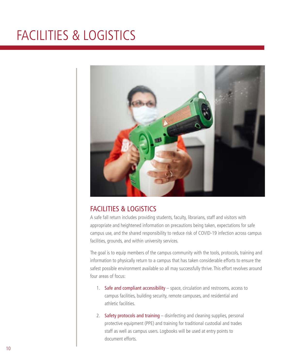### <span id="page-11-0"></span>FACILITIES & LOGISTICS



### FACILITIES & LOGISTICS

A safe fall return includes providing students, faculty, librarians, staff and visitors with appropriate and heightened information on precautions being taken, expectations for safe campus use, and the shared responsibility to reduce risk of COVID-19 infection across campus facilities, grounds, and within university services.

The goal is to equip members of the campus community with the tools, protocols, training and information to physically return to a campus that has taken considerable efforts to ensure the safest possible environment available so all may successfully thrive. This effort revolves around four areas of focus:

- 1. Safe and compliant accessibility space, circulation and restrooms, access to campus facilities, building security, remote campuses, and residential and athletic facilities.
- 2. Safety protocols and training disinfecting and cleaning supplies, personal protective equipment (PPE) and training for traditional custodial and trades staff as well as campus users. Logbooks will be used at entry points to document efforts.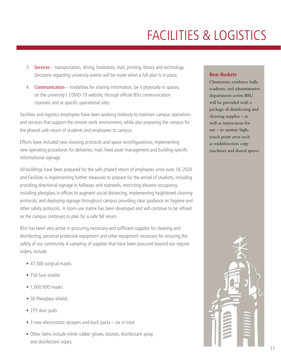## FACILITIES & LOGISTICS

- 3. Services transportation, dining, bookstore, mail, printing, library and technology. Decisions regarding university events will be made when a full plan is in place.
- 4. **Communication** modalities for sharing information, be it physically in spaces, on the university's COVID-19 website, through official BSU communication channels and at specific operational sites.

Facilities and logistics employees have been working tirelessly to maintain campus operations and services that support the remote work environment, while also preparing the campus for the phased safe return of students and employees to campus.

Efforts have included new cleaning protocols and space reconfigurations, implementing new operating procedures for deliveries, mail, fixed asset management and building-specific informational signage.

All buildings have been prepared for the safe phased return of employees since June 18, 2020 and Facilities is implementing further measures to prepare for the arrival of students, including providing directional signage in hallways and stairwells, restricting elevator occupancy, installing plexiglass in offices to augment social distancing, implementing heightened cleaning protocols, and deploying signage throughout campus providing clear guidance on hygiene and other safety protocols. A room-use matrix has been developed and will continue to be refined as the campus continues to plan for a safe fall return.

BSU has been very active in procuring necessary and sufficient supplies for cleaning and disinfecting, personal protective equipment and other equipment necessary for ensuring the safety of our community. A sampling of supplies that have been procured beyond our regular orders, include:

- 47,500 surgical masks
- 750 face shields
- 1,000 N95 masks
- 50 Plexiglass shields
- 275 door pulls
- 3 new electrostatic sprayers and back packs six in total
- Other items include nitrile rubber gloves, booties, disinfectant spray and disinfectant wipes.

#### **Bear Buckets**

Classrooms, residence halls, academic and administrative departments across BSU will be provided with a package of disinfecting and cleaning supplies – as well as instructions for use – to sanitize hightouch point areas such as multifunction copy machines and shared spaces.

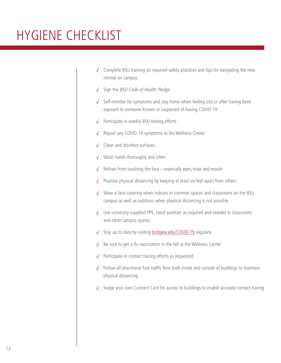## <span id="page-13-0"></span>HYGIENE CHECKLIST

- $\sqrt{\phantom{a}}$  Complete BSU training on required safety practices and tips for navigating the new normal on campus
- √ Sign the BSU Code of Health Pledge
- $\sqrt{\phantom{a}}$  Self-monitor for symptoms and stay home when feeling sick or after having been exposed to someone known or suspected of having COVID-19
- √ Participate in weekly BSU testing efforts
- √ Report any COVID-19 symptoms to the Wellness Center
- √ Clean and disinfect surfaces
- √ Wash hands thoroughly and often
- $\sqrt{\phantom{a}}$  Refrain from touching the face especially eyes, nose and mouth
- √ Practice physical distancing by keeping at least six feet apart from others
- $\sqrt{\phantom{a}}$  Wear a face covering when indoors in common spaces and classrooms on the BSU campus as well as outdoors when physical distancing is not possible
- √ Use university-supplied PPE, hand sanitizer as required and needed in classrooms and other campus spaces
- √ Stay up to date by visiting [bridgew.edu/COVID-19](http://bridgew.edu/COVID-19) regularly
- $\sqrt{\phantom{a}}$  Be sure to get a flu vaccination in the fall at the Wellness Center
- √ Participate in contact tracing efforts as requested
- $\sqrt{\phantom{a}}$  Follow all directional foot traffic flow both inside and outside of buildings to maintain physical distancing
- √ Swipe your own Connect Card for access to buildings to enable accurate contact tracing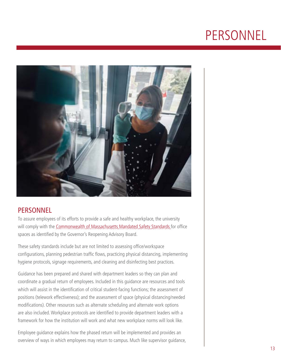### PERSONNEL

<span id="page-14-0"></span>

### PERSONNEL

To assure employees of its efforts to provide a safe and healthy workplace, the university will comply with the [Commonwealth of Massachusetts Mandated Safety Standards](https://www.mass.gov/doc/office-spaces-protocol-summary/download) for office spaces as identified by the Governor's Reopening Advisory Board.

These safety standards include but are not limited to assessing office/workspace configurations, planning pedestrian traffic flows, practicing physical distancing, implementing hygiene protocols, signage requirements, and cleaning and disinfecting best practices.

Guidance has been prepared and shared with department leaders so they can plan and coordinate a gradual return of employees. Included in this guidance are resources and tools which will assist in the identification of critical student-facing functions; the assessment of positions (telework effectiveness); and the assessment of space (physical distancing/needed modifications). Other resources such as alternate scheduling and alternate work options are also included. Workplace protocols are identified to provide department leaders with a framework for how the institution will work and what new workplace norms will look like.

Employee guidance explains how the phased return will be implemented and provides an overview of ways in which employees may return to campus. Much like supervisor guidance,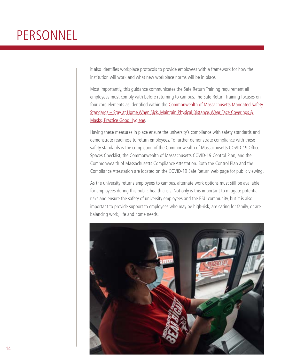### PERSONNEL

it also identifies workplace protocols to provide employees with a framework for how the institution will work and what new workplace norms will be in place.

Most importantly, this guidance communicates the Safe Return Training requirement all employees must comply with before returning to campus. The Safe Return Training focuses on four core elements as identified within the Commonwealth of Massachusetts Mandated Safety [Standards – Stay at Home When Sick, Maintain Physical Distance, Wear Face Coverings &](https://www.mass.gov/doc/office-spaces-protocol-summary/download)  [Masks, Practice Good Hygiene](https://www.mass.gov/doc/office-spaces-protocol-summary/download).

Having these measures in place ensure the university's compliance with safety standards and demonstrate readiness to return employees. To further demonstrate compliance with these safety standards is the completion of the Commonwealth of Massachusetts COVID-19 Office Spaces Checklist, the Commonwealth of Massachusetts COVID-19 Control Plan, and the Commonwealth of Massachusetts Compliance Attestation. Both the Control Plan and the Compliance Attestation are located on the COVID-19 Safe Return web page for public viewing.

As the university returns employees to campus, alternate work options must still be available for employees during this public health crisis. Not only is this important to mitigate potential risks and ensure the safety of university employees and the BSU community, but it is also important to provide support to employees who may be high-risk, are caring for family, or are balancing work, life and home needs.

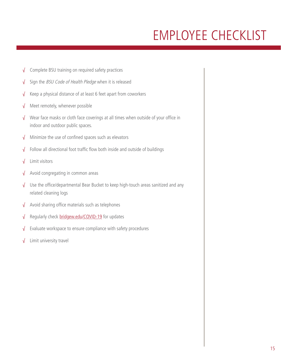## EMPLOYEE CHECKLIST

- <span id="page-16-0"></span>√ Complete BSU training on required safety practices
- √ Sign the BSU Code of Health Pledge when it is released
- √ Keep a physical distance of at least 6 feet apart from coworkers
- √ Meet remotely, whenever possible
- √ Wear face masks or cloth face coverings at all times when outside of your office in indoor and outdoor public spaces.
- √ Minimize the use of confined spaces such as elevators
- √ Follow all directional foot traffic flow both inside and outside of buildings
- √ Limit visitors
- √ Avoid congregating in common areas
- √ Use the office/departmental Bear Bucket to keep high-touch areas sanitized and any related cleaning logs
- √ Avoid sharing office materials such as telephones
- √ Regularly check [bridgew.edu/COVID-19](http://bridgew.edu/COVID-19) for updates
- $\sqrt{\phantom{a}}$  Evaluate workspace to ensure compliance with safety procedures
- √ Limit university travel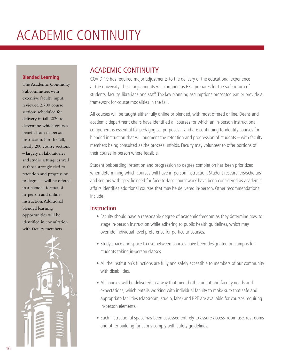#### <span id="page-17-0"></span>**Blended Learning**

The Academic Continuity Subcommittee, with extensive faculty input, reviewed 2,700 course sections scheduled for delivery in fall 2020 to determine which courses benefit from in-person instruction. For the fall, nearly 200 course sections – largely in laboratories and studio settings as well as those strongly tied to retention and progression to degree – will be offered in a blended format of in-person and online instruction. Additional blended learning opportunities will be identified in consultation with faculty members.



### ACADEMIC CONTINUITY

COVID-19 has required major adjustments to the delivery of the educational experience at the university. These adjustments will continue as BSU prepares for the safe return of students, faculty, librarians and staff. The key planning assumptions presented earlier provide a framework for course modalities in the fall.

All courses will be taught either fully online or blended, with most offered online. Deans and academic department chairs have identified all courses for which an in-person instructional component is essential for pedagogical purposes – and are continuing to identify courses for blended instruction that will augment the retention and progression of students – with faculty members being consulted as the process unfolds. Faculty may volunteer to offer portions of their course in-person where feasible.

Student onboarding, retention and progression to degree completion has been prioritized when determining which courses will have in-person instruction. Student researchers/scholars and seniors with specific need for face-to-face coursework have been considered as academic affairs identifies additional courses that may be delivered in-person. Other recommendations include:

#### **Instruction**

- Faculty should have a reasonable degree of academic freedom as they determine how to stage in-person instruction while adhering to public health guidelines, which may override individual-level preference for particular courses.
- Study space and space to use between courses have been designated on campus for students taking in-person classes.
- All the institution's functions are fully and safely accessible to members of our community with disabilities.
- All courses will be delivered in a way that meet both student and faculty needs and expectations, which entails working with individual faculty to make sure that safe and appropriate facilities (classroom, studio, labs) and PPE are available for courses requiring in-person elements.
- Each instructional space has been assessed entirely to assure access, room use, restrooms and other building functions comply with safety guidelines.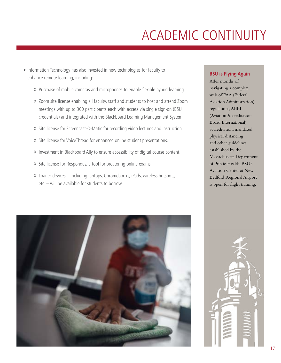## ACADEMIC CONTINUITY

- Information Technology has also invested in new technologies for faculty to enhance remote learning, including:
	- ◊ Purchase of mobile cameras and microphones to enable flexible hybrid learning
	- ◊ Zoom site license enabling all faculty, staff and students to host and attend Zoom meetings with up to 300 participants each with access via single sign-on (BSU credentials) and integrated with the Blackboard Learning Management System.
	- ◊ Site license for Screencast-O-Matic for recording video lectures and instruction.
	- ◊ Site license for VoiceThread for enhanced online student presentations.
	- ◊ Investment in Blackboard Ally to ensure accessibility of digital course content.
	- ◊ Site license for Respondus, a tool for proctoring online exams.
	- ◊ Loaner devices including laptops, Chromebooks, iPads, wireless hotspots, etc. – will be available for students to borrow.

#### **BSU is Flying Again**

After months of navigating a complex web of FAA (Federal Aviation Administration) regulations, ABBI (Aviation Accreditation Board International) accreditation, mandated physical distancing and other guidelines established by the Massachusetts Department of Public Health, BSU's Aviation Center at New Bedford Regional Airport is open for flight training.



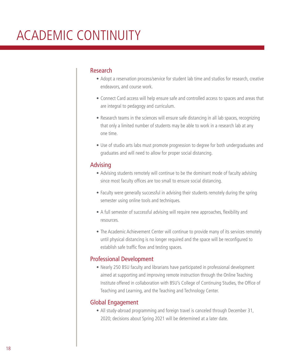## ACADEMIC CONTINUITY

#### Research

- Adopt a reservation process/service for student lab time and studios for research, creative endeavors, and course work.
- Connect Card access will help ensure safe and controlled access to spaces and areas that are integral to pedagogy and curriculum.
- Research teams in the sciences will ensure safe distancing in all lab spaces, recognizing that only a limited number of students may be able to work in a research lab at any one time.
- Use of studio arts labs must promote progression to degree for both undergraduates and graduates and will need to allow for proper social distancing.

#### Advising

- Advising students remotely will continue to be the dominant mode of faculty advising since most faculty offices are too small to ensure social distancing.
- Faculty were generally successful in advising their students remotely during the spring semester using online tools and techniques.
- A full semester of successful advising will require new approaches, flexibility and resources.
- The Academic Achievement Center will continue to provide many of its services remotely until physical distancing is no longer required and the space will be reconfigured to establish safe traffic flow and testing spaces.

#### Professional Development

• Nearly 250 BSU faculty and librarians have participated in professional development aimed at supporting and improving remote instruction through the Online Teaching Institute offered in collaboration with BSU's College of Continuing Studies, the Office of Teaching and Learning, and the Teaching and Technology Center.

#### Global Engagement

• All study-abroad programming and foreign travel is canceled through December 31, 2020; decisions about Spring 2021 will be determined at a later date.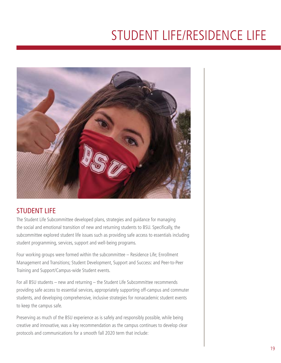### STUDENT LIFE/RESIDENCE LIFE

<span id="page-20-0"></span>

### STUDENT LIFE

The Student Life Subcommittee developed plans, strategies and guidance for managing the social and emotional transition of new and returning students to BSU. Specifically, the subcommittee explored student life issues such as providing safe access to essentials including student programming, services, support and well-being programs.

Four working groups were formed within the subcommittee – Residence Life; Enrollment Management and Transitions; Student Development, Support and Success: and Peer-to-Peer Training and Support/Campus-wide Student events.

For all BSU students – new and returning – the Student Life Subcommittee recommends providing safe access to essential services, appropriately supporting off-campus and commuter students, and developing comprehensive, inclusive strategies for nonacademic student events to keep the campus safe.

Preserving as much of the BSU experience as is safely and responsibly possible, while being creative and innovative, was a key recommendation as the campus continues to develop clear protocols and communications for a smooth fall 2020 term that include: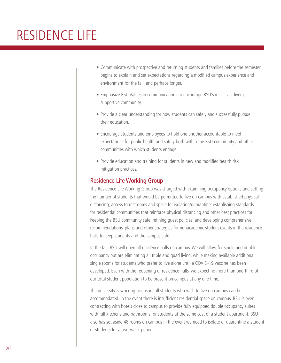### <span id="page-21-0"></span>RESIDENCE LIFE

- Communicate with prospective and returning students and families before the semester begins to explain and set expectations regarding a modified campus experience and environment for the fall, and perhaps longer.
- Emphasize BSU Values in communications to encourage BSU's inclusive, diverse, supportive community.
- Provide a clear understanding for how students can safely and successfully pursue their education.
- Encourage students and employees to hold one another accountable to meet expectations for public health and safety both within the BSU community and other communities with which students engage.
- Provide education and training for students in new and modified health risk mitigation practices.

#### Residence Life Working Group

The Residence Life Working Group was charged with examining occupancy options and setting the number of students that would be permitted to live on campus with established physical distancing, access to restrooms and space for isolation/quarantine; establishing standards for residential communities that reinforce physical distancing and other best practices for keeping the BSU community safe; refining guest policies; and developing comprehensive recommendations, plans and other strategies for nonacademic student events in the residence halls to keep students and the campus safe.

In the fall, BSU will open all residence halls on campus. We will allow for single and double occupancy but are eliminating all triple and quad living, while making available additional single rooms for students who prefer to live alone until a COVID-19 vaccine has been developed. Even with the reopening of residence halls, we expect no more than one-third of our total student population to be present on campus at any one time.

The university is working to ensure all students who wish to live on campus can be accommodated. In the event there is insufficient residential space on campus, BSU is even contracting with hotels close to campus to provide fully equipped double occupancy suites with full kitchens and bathrooms for students at the same cost of a student apartment. BSU also has set aside 48 rooms on campus in the event we need to isolate or quarantine a student or students for a two-week period.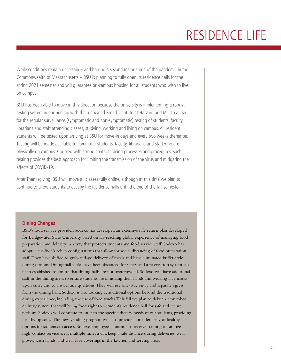### RESIDENCE LIFE

While conditions remain uncertain – and barring a second major surge of the pandemic in the Commonwealth of Massachusetts – BSU is planning to fully open its residence halls for the spring 2021 semester and will guarantee on-campus housing for all students who wish to live on campus.

BSU has been able to move in this direction because the university is implementing a robust testing system in partnership with the renowned Broad Institute at Harvard and MIT to allow for the regular surveillance (symptomatic and non-symptomatic) testing of students, faculty, librarians and staff attending classes, studying, working and living on campus. All resident students will be tested upon arriving at BSU for move-in days and every two weeks thereafter. Testing will be made available to commuter students, faculty, librarians and staff who are physically on campus. Coupled with strong contact tracing processes and procedures, such testing provides the best approach for limiting the transmission of the virus and mitigating the effects of COVID-19.

After Thanksgiving, BSU will move all classes fully online, although at this time we plan to continue to allow students to occupy the residence halls until the end of the fall semester.

#### **Dining Changes**

BSU's food service provider, Sodexo has developed an extensive safe return plan developed for Bridgewater State University based on far-reaching global experience of managing food preparation and delivery in a way that protects students and food service staff. Sodexo has adopted six-foot kitchen configurations that allow for social distancing of food preparation staff. They have shifted to grab-and-go delivery of meals and have eliminated buffet-style dining options. Dining hall tables have been distanced for safety and a reservation system has been established to ensure that dining halls are not overcrowded. Sodexo will have additional staff in the dining areas to ensure students are sanitizing their hands and wearing face masks upon entry and to answer any questions. They will use one-way entry and separate egress from the dining halls. Sodexo is also looking at additional options beyond the traditional dining experience, including the use of food trucks. This fall we plan to debut a new robot delivery system that will bring food right to a student's residence hall for safe and secure pick-up. Sodexo will continue to cater to the specific dietary needs of our students, providing healthy options. The new vending program will also provide a broader array of healthy options for students to access. Sodexo employees continue to receive training to sanitize high-contact service areas multiple times a day, keep a safe distance during deliveries, wear gloves, wash hands, and wear face coverings in the kitchen and serving areas.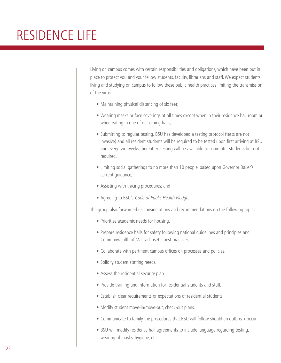### RESIDENCE LIFE

Living on campus comes with certain responsibilities and obligations, which have been put in place to protect you and your fellow students, faculty, librarians and staff. We expect students living and studying on campus to follow these public health practices limiting the transmission of the virus:

- Maintaining physical distancing of six feet;
- Wearing masks or face coverings at all times except when in their residence hall room or when eating in one of our dining halls;
- Submitting to regular testing. BSU has developed a testing protocol (tests are not invasive) and all resident students will be required to be tested upon first arriving at BSU and every two weeks thereafter. Testing will be available to commuter students but not required.
- Limiting social gatherings to no more than 10 people, based upon Governor Baker's current guidance;
- Assisting with tracing procedures; and
- Agreeing to BSU's Code of Public Health Pledge.

The group also forwarded its considerations and recommendations on the following topics:

- Prioritize academic needs for housing.
- Prepare residence halls for safety following national guidelines and principles and Commonwealth of Massachusetts best practices.
- Collaborate with pertinent campus offices on processes and policies.
- Solidify student staffing needs.
- Assess the residential security plan.
- Provide training and information for residential students and staff.
- Establish clear requirements or expectations of residential students.
- Modify student move-in/move-out, check-out plans.
- Communicate to family the procedures that BSU will follow should an outbreak occur.
- BSU will modify residence hall agreements to include language regarding testing, wearing of masks, hygiene, etc.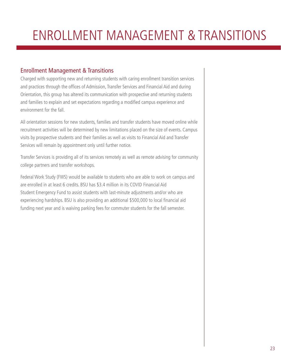### <span id="page-24-0"></span>ENROLLMENT MANAGEMENT & TRANSITIONS

#### Enrollment Management & Transitions

Charged with supporting new and returning students with caring enrollment transition services and practices through the offices of Admission, Transfer Services and Financial Aid and during Orientation, this group has altered its communication with prospective and returning students and families to explain and set expectations regarding a modified campus experience and environment for the fall.

All orientation sessions for new students, families and transfer students have moved online while recruitment activities will be determined by new limitations placed on the size of events. Campus visits by prospective students and their families as well as visits to Financial Aid and Transfer Services will remain by appointment only until further notice.

Transfer Services is providing all of its services remotely as well as remote advising for community college partners and transfer workshops.

Federal Work Study (FWS) would be available to students who are able to work on campus and are enrolled in at least 6 credits. BSU has \$3.4 million in its COVID Financial Aid Student Emergency Fund to assist students with last-minute adjustments and/or who are experiencing hardships. BSU is also providing an additional \$500,000 to local financial aid funding next year and is waiving parking fees for commuter students for the fall semester.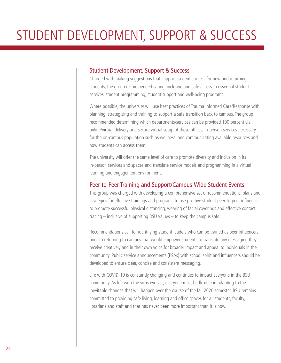#### <span id="page-25-0"></span>Student Development, Support & Success

Charged with making suggestions that support student success for new and returning students, the group recommended caring, inclusive and safe access to essential student services, student programming, student support and well-being programs.

Where possible, the university will use best practices of Trauma Informed Care/Response with planning, strategizing and training to support a safe transition back to campus. The group recommended determining which departments/services can be provided 100 percent via online/virtual delivery and secure virtual setup of these offices; in-person services necessary for the on-campus population such as wellness; and communicating available resources and how students can access them.

The university will offer the same level of care to promote diversity and inclusion in its in-person services and spaces and translate service models and programming in a virtual learning and engagement environment.

### Peer-to-Peer Training and Support/Campus-Wide Student Events

This group was charged with developing a comprehensive set of recommendations, plans and strategies for effective trainings and programs to use positive student peer-to-peer influence to promote successful physical distancing, wearing of facial coverings and effective contact tracing – inclusive of supporting BSU Values – to keep the campus safe.

Recommendations call for identifying student leaders who can be trained as peer influencers prior to returning to campus that would empower students to translate any messaging they receive creatively and in their own voice for broader impact and appeal to individuals in the community. Public service announcements (PSAs) with school spirit and influencers should be developed to ensure clear, concise and consistent messaging.

Life with COVID-19 is constantly changing and continues to impact everyone in the BSU community. As life with the virus evolves, everyone must be flexible in adapting to the inevitable changes that will happen over the course of the fall 2020 semester. BSU remains committed to providing safe living, learning and office spaces for all students, faculty, librarians and staff and that has never been more important than it is now.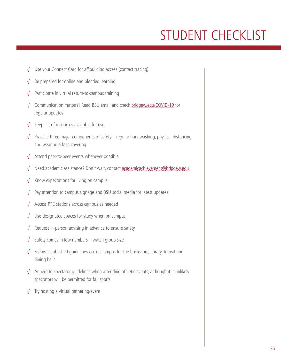## STUDENT CHECKLIST

- <span id="page-26-0"></span>√ Use your Connect Card for all building access (contact tracing)
- √ Be prepared for online and blended learning
- √ Participate in virtual return-to-campus training
- √ Communication matters! Read BSU email and check [bridgew.edu/COVID-19](http://bridgew.edu/COVID-19) for regular updates
- √ Keep list of resources available for use
- $\sqrt{\phantom{a}}$  Practice three major components of safety regular handwashing, physical distancing and wearing a face covering
- √ Attend peer-to-peer events whenever possible
- √ Need academic assistance? Don't wait, contact [academicachievement@bridgew.edu](mailto:academicachievement%40bridgew.edu?subject=)
- $\sqrt{\phantom{a}}$  Know expectations for living on campus
- √ Pay attention to campus signage and BSU social media for latest updates
- √ Access PPE stations across campus as needed
- $\sqrt{\phantom{a}}$  Use designated spaces for study when on campus
- $\sqrt{\phantom{a}}$  Request in-person advising in advance to ensure safety
- $\sqrt{\phantom{a}}$  Safety comes in low numbers watch group size
- $\sqrt{\phantom{a}}$  Follow established guidelines across campus for the bookstore, library, transit and dining halls
- $\sqrt{\phantom{a}}$  Adhere to spectator guidelines when attending athletic events, although it is unlikely spectators will be permitted for fall sports
- √ Try hosting a virtual gathering/event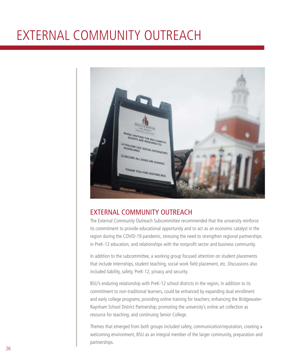### <span id="page-27-0"></span>EXTERNAL COMMUNITY OUTREACH



### EXTERNAL COMMUNITY OUTREACH

The External Community Outreach Subcommittee recommended that the university reinforce its commitment to provide educational opportunity and to act as an economic catalyst in the region during the COVID-19 pandemic, stressing the need to strengthen regional partnerships in PreK-12 education, and relationships with the nonprofit sector and business community.

In addition to the subcommittee, a working group focused attention on student placements that include internships, student teaching, social work field placement, etc. Discussions also included liability, safety, PreK-12, privacy and security.

BSU's enduring relationship with PreK-12 school districts in the region, in addition to its commitment to non-traditional learners, could be enhanced by expanding dual enrollment and early college programs; providing online training for teachers; enhancing the Bridgewater-Raynham School District Partnership; promoting the university's online art collection as resource for teaching; and continuing Senior College.

Themes that emerged from both groups included safety, communication/reputation, creating a welcoming environment, BSU as an integral member of the larger community, preparation and partnerships.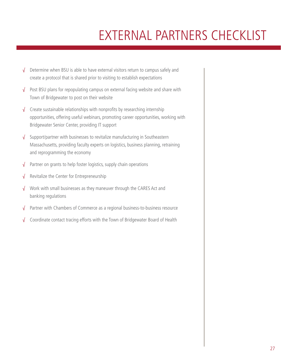## EXTERNAL PARTNERS CHECKLIST

- <span id="page-28-0"></span> $\sqrt{\phantom{a}}$  Determine when BSU is able to have external visitors return to campus safely and create a protocol that is shared prior to visiting to establish expectations
- $\sqrt{\phantom{a}}$  Post BSU plans for repopulating campus on external facing website and share with Town of Bridgewater to post on their website
- $\sqrt{\phantom{a}}$  Create sustainable relationships with nonprofits by researching internship opportunities, offering useful webinars, promoting career opportunities, working with Bridgewater Senior Center, providing IT support
- √ Support/partner with businesses to revitalize manufacturing in Southeastern Massachusetts, providing faculty experts on logistics, business planning, retraining and reprogramming the economy
- √ Partner on grants to help foster logistics, supply chain operations
- √ Revitalize the Center for Entrepreneurship
- √ Work with small businesses as they maneuver through the CARES Act and banking regulations
- √ Partner with Chambers of Commerce as a regional business-to-business resource
- √ Coordinate contact tracing efforts with the Town of Bridgewater Board of Health